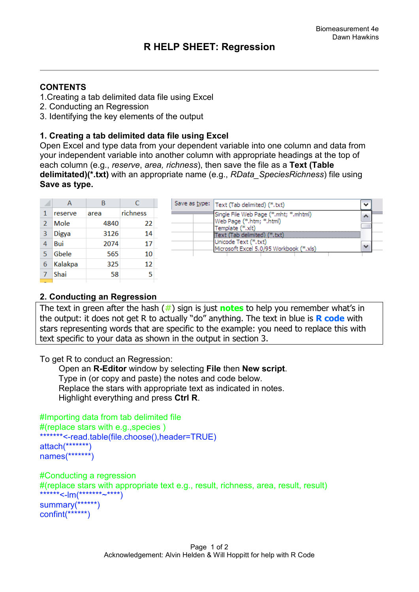## **CONTENTS**

- 1.Creating a tab delimited data file using Excel
- 2. Conducting an Regression
- 3. Identifying the key elements of the output

## **1. Creating a tab delimited data file using Excel**

Open Excel and type data from your dependent variable into one column and data from your independent variable into another column with appropriate headings at the top of each column (e.g., *reserve*, *area, richness*), then save the file as a **Text (Table delimitated)(\*.txt)** with an appropriate name (e.g., *RData\_SpeciesRichness*) file using **Save as type.** 

|                | А            | В    | C        |
|----------------|--------------|------|----------|
| 1              | reserve      | area | richness |
| $\overline{2}$ | Mole         | 4840 | 22       |
| 3              | <b>Digya</b> | 3126 | 14       |
| 4              | Bui          | 2074 | 17       |
| 5              | Gbele        | 565  | 10       |
| 6              | Kalakpa      | 325  | 12       |
|                | Shai         | 58   | 5        |
|                |              |      |          |

| Save as type:   Text (Tab delimited) (*.txt)                                          |  |
|---------------------------------------------------------------------------------------|--|
| Single File Web Page (*.mht; *.mhtml)<br>Web Page (*.htm; *.html)<br>Template (*.xlt) |  |
| Text (Tab delimited) (*.txt)<br>Unicode Text (*.txt)                                  |  |
| Microsoft Excel 5.0/95 Workbook (*.xls)                                               |  |

## **2. Conducting an Regression**

The text in green after the hash (**#**) sign is just **notes** to help you remember what's in the output: it does not get R to actually "do" anything. The text in blue is **R code** with stars representing words that are specific to the example: you need to replace this with text specific to your data as shown in the output in section 3.

To get R to conduct an Regression:

 Open an **R-Editor** window by selecting **File** then **New script**. Type in (or copy and paste) the notes and code below. Replace the stars with appropriate text as indicated in notes. Highlight everything and press **Ctrl R**.

```
#Importing data from tab delimited file 
#(replace stars with e.g.,species )
*******<-read.table(file.choose(),header=TRUE)
attach(*******)
names(*******)
```

```
#Conducting a regression 
#(replace stars with appropriate text e.g., result, richness, area, result, result)
******<-lm(***************)
summary(******)
confint(******)
```